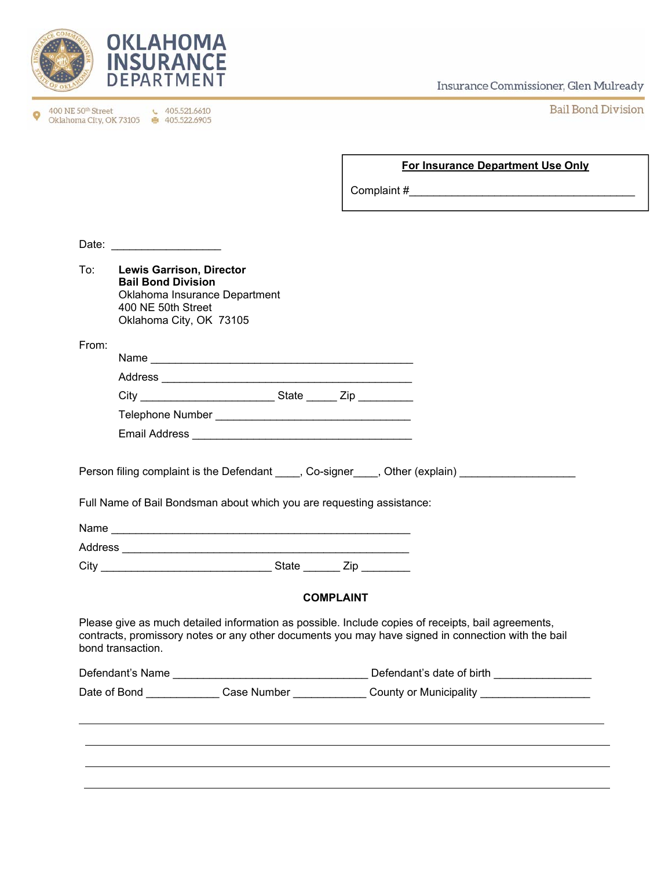

400 NE 50<sup>th</sup> Street **t** 405.521.6610<br>Oklahoma City, OK 73105 **€** 405.522.6905  $\bullet$ 

Insurance Commissioner, Glen Mulready

**Bail Bond Division** 

## **For Insurance Department Use Only**

Complaint #\_\_\_\_\_\_\_\_\_\_\_\_\_\_\_\_\_\_\_\_\_\_\_\_\_\_\_\_\_\_\_\_\_\_\_\_\_

| To:   | <b>Lewis Garrison, Director</b><br><b>Bail Bond Division</b><br>Oklahoma Insurance Department<br>400 NE 50th Street<br>Oklahoma City, OK 73105                                                                                |  |                  |  |  |  |
|-------|-------------------------------------------------------------------------------------------------------------------------------------------------------------------------------------------------------------------------------|--|------------------|--|--|--|
| From: |                                                                                                                                                                                                                               |  |                  |  |  |  |
|       |                                                                                                                                                                                                                               |  |                  |  |  |  |
|       |                                                                                                                                                                                                                               |  |                  |  |  |  |
|       |                                                                                                                                                                                                                               |  |                  |  |  |  |
|       |                                                                                                                                                                                                                               |  |                  |  |  |  |
|       | Person filing complaint is the Defendant _____, Co-signer____, Other (explain) ____________________<br>Full Name of Bail Bondsman about which you are requesting assistance:                                                  |  |                  |  |  |  |
|       |                                                                                                                                                                                                                               |  |                  |  |  |  |
|       | City City City State City                                                                                                                                                                                                     |  |                  |  |  |  |
|       |                                                                                                                                                                                                                               |  | <b>COMPLAINT</b> |  |  |  |
|       | Please give as much detailed information as possible. Include copies of receipts, bail agreements,<br>contracts, promissory notes or any other documents you may have signed in connection with the bail<br>bond transaction. |  |                  |  |  |  |
|       |                                                                                                                                                                                                                               |  |                  |  |  |  |
|       | Date of Bond ______________Case Number ______________County or Municipality _______________________                                                                                                                           |  |                  |  |  |  |
|       |                                                                                                                                                                                                                               |  |                  |  |  |  |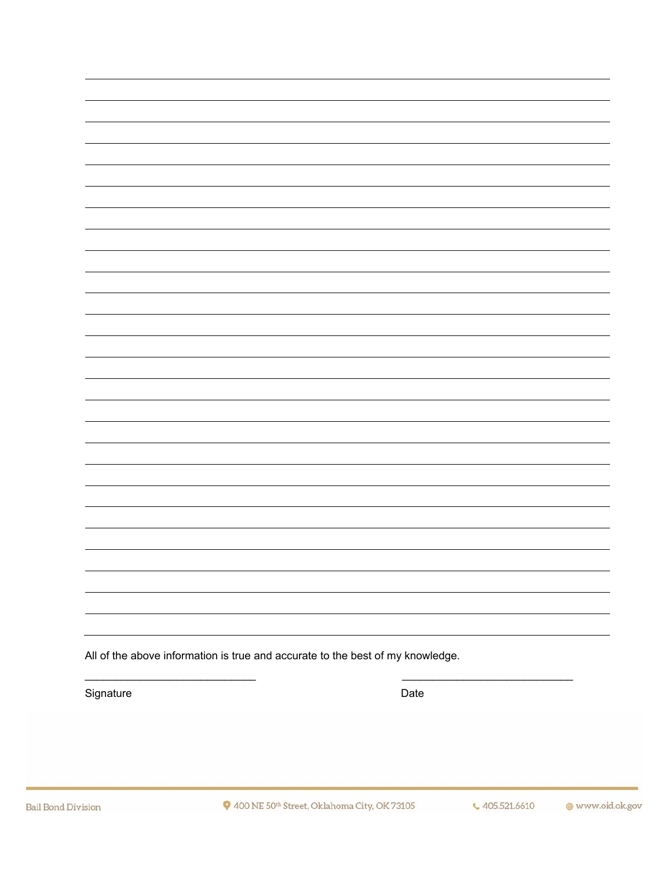All of the above information is true and accurate to the best of my knowledge.

Signature Date Date Contract and Date Date Date

 $\overline{\phantom{a}}$  , and the contribution of  $\overline{\phantom{a}}$  , and  $\overline{\phantom{a}}$  , and  $\overline{\phantom{a}}$  , and  $\overline{\phantom{a}}$  , and  $\overline{\phantom{a}}$  , and  $\overline{\phantom{a}}$  , and  $\overline{\phantom{a}}$  , and  $\overline{\phantom{a}}$  , and  $\overline{\phantom{a}}$  , and  $\overline{\phantom{a}}$  , and  $\over$